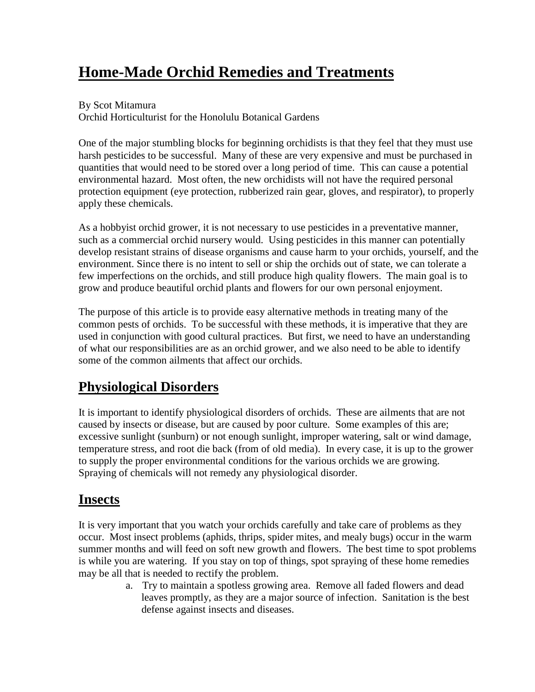# **Home-Made Orchid Remedies and Treatments**

#### By Scot Mitamura

Orchid Horticulturist for the Honolulu Botanical Gardens

One of the major stumbling blocks for beginning orchidists is that they feel that they must use harsh pesticides to be successful. Many of these are very expensive and must be purchased in quantities that would need to be stored over a long period of time. This can cause a potential environmental hazard. Most often, the new orchidists will not have the required personal protection equipment (eye protection, rubberized rain gear, gloves, and respirator), to properly apply these chemicals.

As a hobbyist orchid grower, it is not necessary to use pesticides in a preventative manner, such as a commercial orchid nursery would. Using pesticides in this manner can potentially develop resistant strains of disease organisms and cause harm to your orchids, yourself, and the environment. Since there is no intent to sell or ship the orchids out of state, we can tolerate a few imperfections on the orchids, and still produce high quality flowers. The main goal is to grow and produce beautiful orchid plants and flowers for our own personal enjoyment.

The purpose of this article is to provide easy alternative methods in treating many of the common pests of orchids. To be successful with these methods, it is imperative that they are used in conjunction with good cultural practices. But first, we need to have an understanding of what our responsibilities are as an orchid grower, and we also need to be able to identify some of the common ailments that affect our orchids.

### **Physiological Disorders**

It is important to identify physiological disorders of orchids. These are ailments that are not caused by insects or disease, but are caused by poor culture. Some examples of this are; excessive sunlight (sunburn) or not enough sunlight, improper watering, salt or wind damage, temperature stress, and root die back (from of old media). In every case, it is up to the grower to supply the proper environmental conditions for the various orchids we are growing. Spraying of chemicals will not remedy any physiological disorder.

### **Insects**

It is very important that you watch your orchids carefully and take care of problems as they occur. Most insect problems (aphids, thrips, spider mites, and mealy bugs) occur in the warm summer months and will feed on soft new growth and flowers. The best time to spot problems is while you are watering. If you stay on top of things, spot spraying of these home remedies may be all that is needed to rectify the problem.

a. Try to maintain a spotless growing area. Remove all faded flowers and dead leaves promptly, as they are a major source of infection. Sanitation is the best defense against insects and diseases.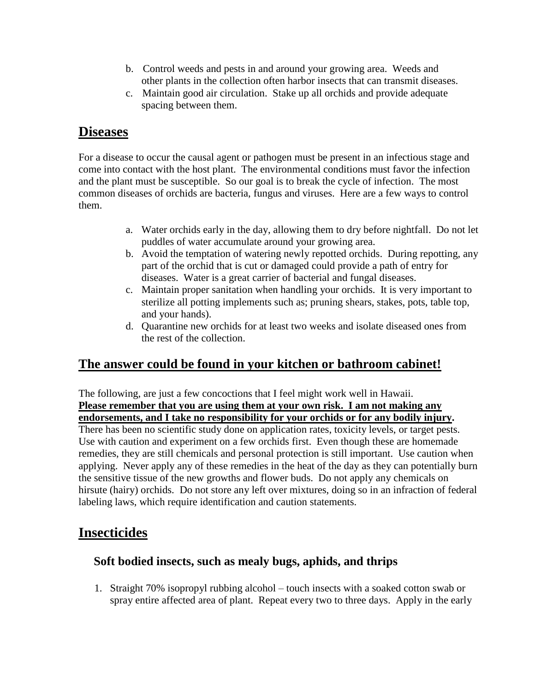- b. Control weeds and pests in and around your growing area. Weeds and other plants in the collection often harbor insects that can transmit diseases.
- c. Maintain good air circulation. Stake up all orchids and provide adequate spacing between them.

### **Diseases**

For a disease to occur the causal agent or pathogen must be present in an infectious stage and come into contact with the host plant. The environmental conditions must favor the infection and the plant must be susceptible. So our goal is to break the cycle of infection. The most common diseases of orchids are bacteria, fungus and viruses. Here are a few ways to control them.

- a. Water orchids early in the day, allowing them to dry before nightfall. Do not let puddles of water accumulate around your growing area.
- b. Avoid the temptation of watering newly repotted orchids. During repotting, any part of the orchid that is cut or damaged could provide a path of entry for diseases. Water is a great carrier of bacterial and fungal diseases.
- c. Maintain proper sanitation when handling your orchids. It is very important to sterilize all potting implements such as; pruning shears, stakes, pots, table top, and your hands).
- d. Quarantine new orchids for at least two weeks and isolate diseased ones from the rest of the collection.

### **The answer could be found in your kitchen or bathroom cabinet!**

The following, are just a few concoctions that I feel might work well in Hawaii. **Please remember that you are using them at your own risk. I am not making any endorsements, and I take no responsibility for your orchids or for any bodily injury.**

There has been no scientific study done on application rates, toxicity levels, or target pests. Use with caution and experiment on a few orchids first. Even though these are homemade remedies, they are still chemicals and personal protection is still important. Use caution when applying. Never apply any of these remedies in the heat of the day as they can potentially burn the sensitive tissue of the new growths and flower buds. Do not apply any chemicals on hirsute (hairy) orchids. Do not store any left over mixtures, doing so in an infraction of federal labeling laws, which require identification and caution statements.

### **Insecticides**

#### **Soft bodied insects, such as mealy bugs, aphids, and thrips**

1. Straight 70% isopropyl rubbing alcohol – touch insects with a soaked cotton swab or spray entire affected area of plant. Repeat every two to three days. Apply in the early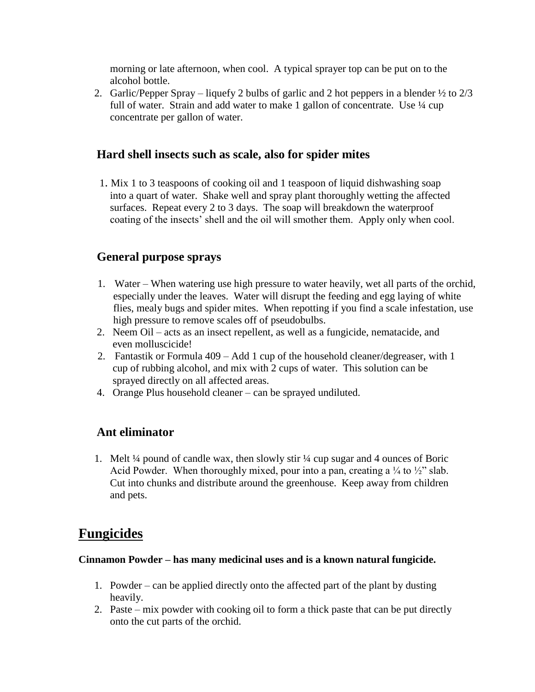morning or late afternoon, when cool. A typical sprayer top can be put on to the alcohol bottle.

2. Garlic/Pepper Spray – liquefy 2 bulbs of garlic and 2 hot peppers in a blender  $\frac{1}{2}$  to  $\frac{2}{3}$ full of water. Strain and add water to make 1 gallon of concentrate. Use  $\frac{1}{4}$  cup concentrate per gallon of water.

#### **Hard shell insects such as scale, also for spider mites**

1. Mix 1 to 3 teaspoons of cooking oil and 1 teaspoon of liquid dishwashing soap into a quart of water. Shake well and spray plant thoroughly wetting the affected surfaces. Repeat every 2 to 3 days. The soap will breakdown the waterproof coating of the insects' shell and the oil will smother them. Apply only when cool.

#### **General purpose sprays**

- 1. Water –When watering use high pressure to water heavily, wet all parts of the orchid, especially under the leaves. Water will disrupt the feeding and egg laying of white flies, mealy bugs and spider mites. When repotting if you find a scale infestation, use high pressure to remove scales off of pseudobulbs.
- 2. Neem Oil –acts as an insect repellent, as well as a fungicide, nematacide, and even molluscicide!
- 2. Fantastik or Formula  $409 Add 1$  cup of the household cleaner/degreaser, with 1 cup of rubbing alcohol, and mix with 2 cups of water. This solution can be sprayed directly on all affected areas.
- 4. Orange Plus household cleaner can be sprayed undiluted.

#### **Ant eliminator**

1. Melt ¼ pound of candle wax, then slowly stir ¼ cup sugar and 4 ounces of Boric Acid Powder. When thoroughly mixed, pour into a pan, creating a  $\frac{1}{4}$  to  $\frac{1}{2}$ " slab. Cut into chunks and distribute around the greenhouse. Keep away from children and pets.

### **Fungicides**

#### **Cinnamon Powder –has many medicinal uses and is a known natural fungicide.**

- 1. Powder –can be applied directly onto the affected part of the plant by dusting heavily.
- 2. Paste –mix powder with cooking oil to form a thick paste that can be put directly onto the cut parts of the orchid.